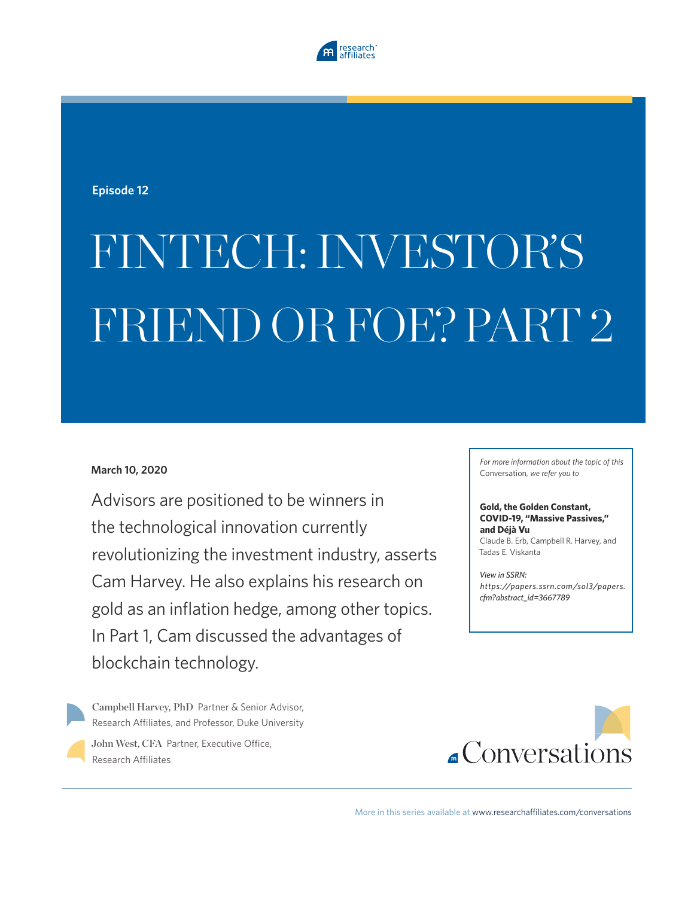

**Episode 12**

# FINTECH: INVESTOR'S FRIEND OR FOE? PART 2

### **March 10, 2020**

Advisors are positioned to be winners in the technological innovation currently revolutionizing the investment industry, asserts Cam Harvey. He also explains his research on gold as an inflation hedge, among other topics. In Part 1, Cam discussed the advantages of blockchain technology.

Campbell Harvey, PhD Partner & Senior Advisor, Research Affiliates, and Professor, Duke University John West, CFA Partner, Executive Office,

Research Affiliates

*For more information about the topic of this*  Conversation*, we refer you to*

#### **Gold, the Golden Constant, COVID-19, "Massive Passives," and Déjà Vu**

Claude B. Erb, Campbell R. Harvey, and Tadas E. Viskanta

*View in SSRN: https://papers.ssrn.com/sol3/papers. cfm?abstract\_id=3667789*



More in this series available at www.researchaffiliates.com/conversations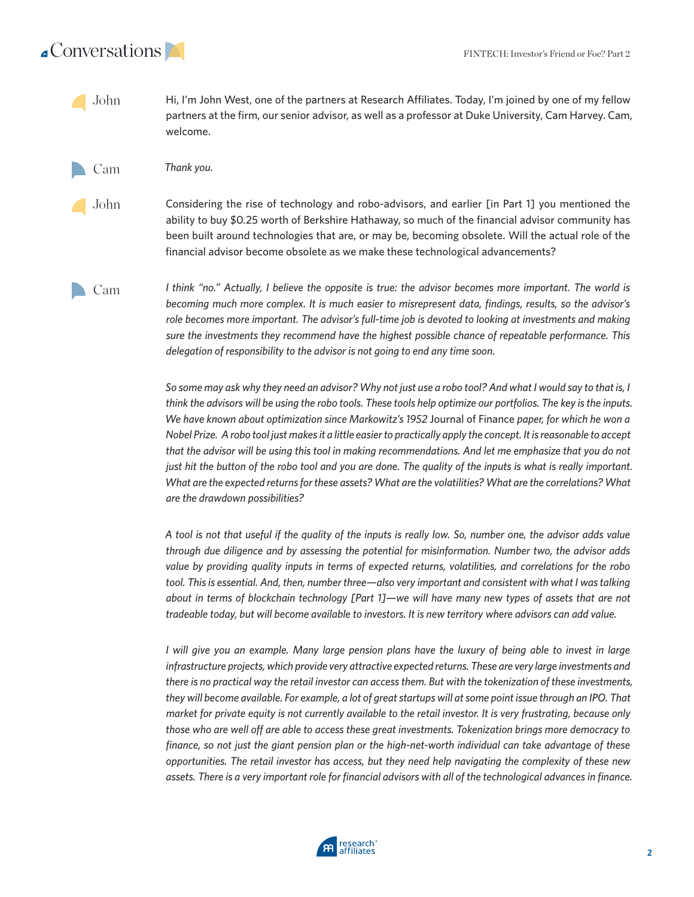

Hi, I'm John West, one of the partners at Research Affiliates. Today, I'm joined by one of my fellow partners at the firm, our senior advisor, as well as a professor at Duke University, Cam Harvey. Cam, welcome. John

*Thank you.*  Cam

Considering the rise of technology and robo-advisors, and earlier [in Part 1] you mentioned the ability to buy \$0.25 worth of Berkshire Hathaway, so much of the financial advisor community has been built around technologies that are, or may be, becoming obsolete. Will the actual role of the financial advisor become obsolete as we make these technological advancements? John

Cam

*I think "no." Actually, I believe the opposite is true: the advisor becomes more important. The world is becoming much more complex. It is much easier to misrepresent data, findings, results, so the advisor's role becomes more important. The advisor's full-time job is devoted to looking at investments and making sure the investments they recommend have the highest possible chance of repeatable performance. This delegation of responsibility to the advisor is not going to end any time soon.* 

*So some may ask why they need an advisor? Why not just use a robo tool? And what I would say to that is, I think the advisors will be using the robo tools. These tools help optimize our portfolios. The key is the inputs. We have known about optimization since Markowitz's 1952* Journal of Finance *paper, for which he won a Nobel Prize. A robo tool just makes it a little easier to practically apply the concept. It is reasonable to accept that the advisor will be using this tool in making recommendations. And let me emphasize that you do not just hit the button of the robo tool and you are done. The quality of the inputs is what is really important. What are the expected returns for these assets? What are the volatilities? What are the correlations? What are the drawdown possibilities?* 

*A tool is not that useful if the quality of the inputs is really low. So, number one, the advisor adds value through due diligence and by assessing the potential for misinformation. Number two, the advisor adds value by providing quality inputs in terms of expected returns, volatilities, and correlations for the robo tool. This is essential. And, then, number three—also very important and consistent with what I was talking about in terms of blockchain technology [Part 1]—we will have many new types of assets that are not tradeable today, but will become available to investors. It is new territory where advisors can add value.* 

*I* will give you an example. Many large pension plans have the luxury of being able to invest in large *infrastructure projects, which provide very attractive expected returns. These are very large investments and there is no practical way the retail investor can access them. But with the tokenization of these investments,*  they will become available. For example, a lot of great startups will at some point issue through an IPO. That *market for private equity is not currently available to the retail investor. It is very frustrating, because only those who are well off are able to access these great investments. Tokenization brings more democracy to finance, so not just the giant pension plan or the high-net-worth individual can take advantage of these opportunities. The retail investor has access, but they need help navigating the complexity of these new assets. There is a very important role for financial advisors with all of the technological advances in finance.*

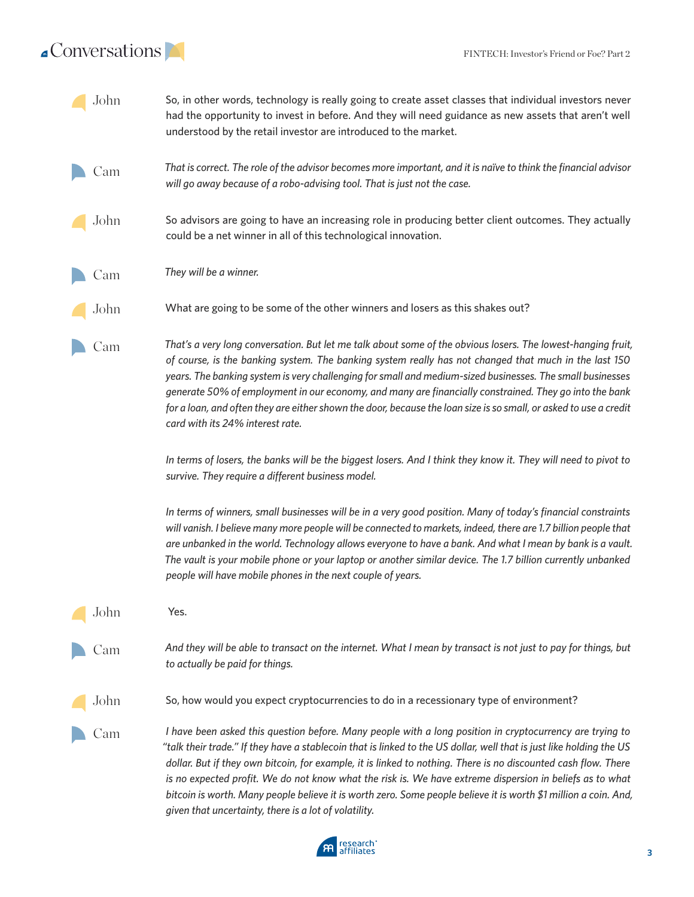## $\triangle$ Conversations

| John | So, in other words, technology is really going to create asset classes that individual investors never<br>had the opportunity to invest in before. And they will need guidance as new assets that aren't well<br>understood by the retail investor are introduced to the market.                                                                                                                                                                                                                                                                                                                                                            |
|------|---------------------------------------------------------------------------------------------------------------------------------------------------------------------------------------------------------------------------------------------------------------------------------------------------------------------------------------------------------------------------------------------------------------------------------------------------------------------------------------------------------------------------------------------------------------------------------------------------------------------------------------------|
| Cam  | That is correct. The role of the advisor becomes more important, and it is naïve to think the financial advisor<br>will go away because of a robo-advising tool. That is just not the case.                                                                                                                                                                                                                                                                                                                                                                                                                                                 |
| John | So advisors are going to have an increasing role in producing better client outcomes. They actually<br>could be a net winner in all of this technological innovation.                                                                                                                                                                                                                                                                                                                                                                                                                                                                       |
| Cam  | They will be a winner.                                                                                                                                                                                                                                                                                                                                                                                                                                                                                                                                                                                                                      |
| John | What are going to be some of the other winners and losers as this shakes out?                                                                                                                                                                                                                                                                                                                                                                                                                                                                                                                                                               |
| Cam  | That's a very long conversation. But let me talk about some of the obvious losers. The lowest-hanging fruit,<br>of course, is the banking system. The banking system really has not changed that much in the last 150<br>years. The banking system is very challenging for small and medium-sized businesses. The small businesses<br>generate 50% of employment in our economy, and many are financially constrained. They go into the bank<br>for a loan, and often they are either shown the door, because the loan size is so small, or asked to use a credit<br>card with its 24% interest rate.                                       |
|      | In terms of losers, the banks will be the biggest losers. And I think they know it. They will need to pivot to<br>survive. They require a different business model.                                                                                                                                                                                                                                                                                                                                                                                                                                                                         |
|      | In terms of winners, small businesses will be in a very good position. Many of today's financial constraints<br>will vanish. I believe many more people will be connected to markets, indeed, there are 1.7 billion people that<br>are unbanked in the world. Technology allows everyone to have a bank. And what I mean by bank is a vault.<br>The vault is your mobile phone or your laptop or another similar device. The 1.7 billion currently unbanked<br>people will have mobile phones in the next couple of years.                                                                                                                  |
| John | Yes.                                                                                                                                                                                                                                                                                                                                                                                                                                                                                                                                                                                                                                        |
| Cam  | And they will be able to transact on the internet. What I mean by transact is not just to pay for things, but<br>to actually be paid for things.                                                                                                                                                                                                                                                                                                                                                                                                                                                                                            |
| John | So, how would you expect cryptocurrencies to do in a recessionary type of environment?                                                                                                                                                                                                                                                                                                                                                                                                                                                                                                                                                      |
| Cam  | I have been asked this question before. Many people with a long position in cryptocurrency are trying to<br>"talk their trade." If they have a stablecoin that is linked to the US dollar, well that is just like holding the US<br>dollar. But if they own bitcoin, for example, it is linked to nothing. There is no discounted cash flow. There<br>is no expected profit. We do not know what the risk is. We have extreme dispersion in beliefs as to what<br>bitcoin is worth. Many people believe it is worth zero. Some people believe it is worth \$1 million a coin. And,<br>given that uncertainty, there is a lot of volatility. |

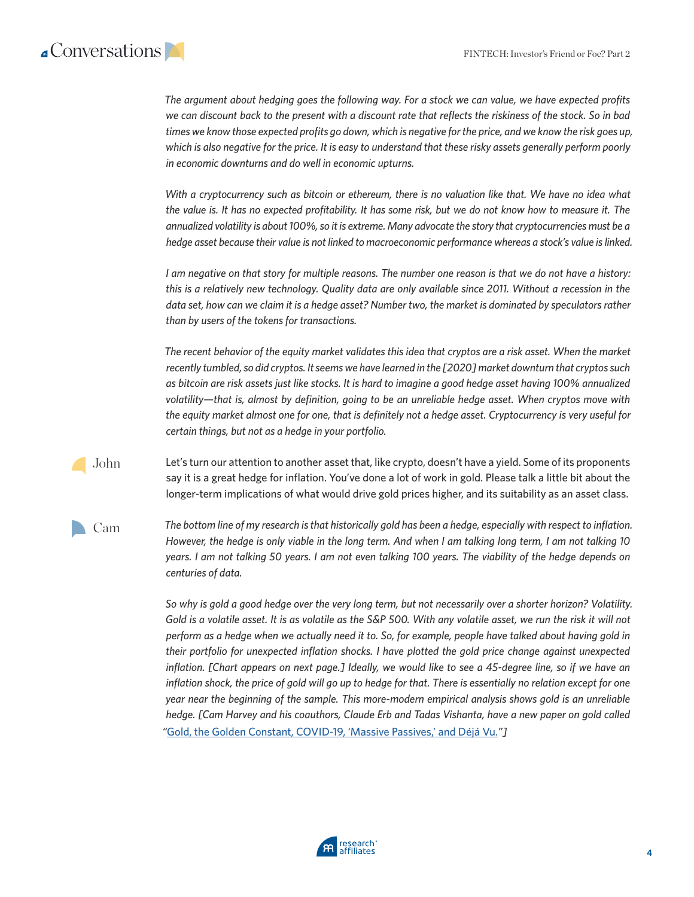## $\triangle$ Conversations

*The argument about hedging goes the following way. For a stock we can value, we have expected profits we can discount back to the present with a discount rate that reflects the riskiness of the stock. So in bad times we know those expected profits go down, which is negative for the price, and we know the risk goes up,*  which is also negative for the price. It is easy to understand that these risky assets generally perform poorly *in economic downturns and do well in economic upturns.*

*With a cryptocurrency such as bitcoin or ethereum, there is no valuation like that. We have no idea what the value is. It has no expected profitability. It has some risk, but we do not know how to measure it. The annualized volatility is about 100%, so it is extreme. Many advocate the story that cryptocurrencies must be a hedge asset because their value is not linked to macroeconomic performance whereas a stock's value is linked.* 

*I am negative on that story for multiple reasons. The number one reason is that we do not have a history: this is a relatively new technology. Quality data are only available since 2011. Without a recession in the data set, how can we claim it is a hedge asset? Number two, the market is dominated by speculators rather than by users of the tokens for transactions.* 

*The recent behavior of the equity market validates this idea that cryptos are a risk asset. When the market recently tumbled, so did cryptos. It seems we have learned in the [2020] market downturn that cryptos such as bitcoin are risk assets just like stocks. It is hard to imagine a good hedge asset having 100% annualized volatility—that is, almost by definition, going to be an unreliable hedge asset. When cryptos move with the equity market almost one for one, that is definitely not a hedge asset. Cryptocurrency is very useful for certain things, but not as a hedge in your portfolio.* 

Let's turn our attention to another asset that, like crypto, doesn't have a yield. Some of its proponents say it is a great hedge for inflation. You've done a lot of work in gold. Please talk a little bit about the longer-term implications of what would drive gold prices higher, and its suitability as an asset class. John

Cam

*The bottom line of my research is that historically gold has been a hedge, especially with respect to inflation. However, the hedge is only viable in the long term. And when I am talking long term, I am not talking 10 years. I am not talking 50 years. I am not even talking 100 years. The viability of the hedge depends on centuries of data.* 

*So why is gold a good hedge over the very long term, but not necessarily over a shorter horizon? Volatility. Gold is a volatile asset. It is as volatile as the S&P 500. With any volatile asset, we run the risk it will not perform as a hedge when we actually need it to. So, for example, people have talked about having gold in their portfolio for unexpected inflation shocks. I have plotted the gold price change against unexpected inflation. [Chart appears on next page.] Ideally, we would like to see a 45-degree line, so if we have an inflation shock, the price of gold will go up to hedge for that. There is essentially no relation except for one year near the beginning of the sample. This more-modern empirical analysis shows gold is an unreliable hedge. [Cam Harvey and his coauthors, Claude Erb and Tadas Vishanta, have a new paper on gold called "*[Gold, the Golden Constant, COVID-19, 'Massive Passives,' and Déjá Vu.](https://papers.ssrn.com/sol3/papers.cfm?abstract_id=3667789)*"]*

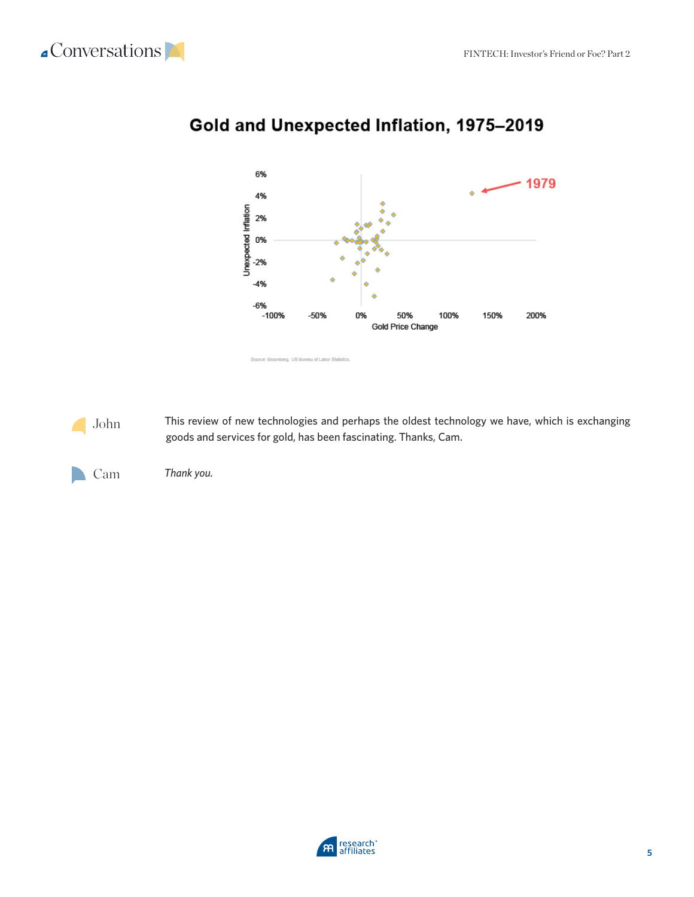



## Gold and Unexpected Inflation, 1975-2019

This review of new technologies and perhaps the oldest technology we have, which is exchanging goods and services for gold, has been fascinating. Thanks, Cam. John

*Thank you.*  Cam